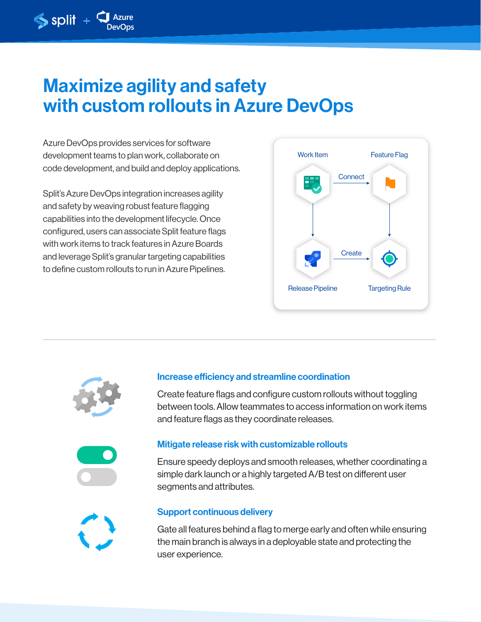# Maximize agility and safety with custom rollouts in Azure DevOps

Azure DevOps provides services for software development teams to plan work, collaborate on code development, and build and deploy applications.

 $\blacklozenge$  split +  $\blacklozenge$ 

Split's Azure DevOps integration increases agility and safety by weaving robust feature flagging capabilities into the development lifecycle. Once configured, users can associate Split feature flags with work items to track features in Azure Boards and leverage Split's granular targeting capabilities to define custom rollouts to run in Azure Pipelines.





### Increase efficiency and streamline coordination

Create feature flags and configure custom rollouts without toggling between tools. Allow teammates to access information on work items and feature flags as they coordinate releases.



#### Mitigate release risk with customizable rollouts

Ensure speedy deploys and smooth releases, whether coordinating a simple dark launch or a highly targeted A/B test on different user segments and attributes.



#### Support continuous delivery

Gate all features behind a flag to merge early and often while ensuring the main branch is always in a deployable state and protecting the user experience.